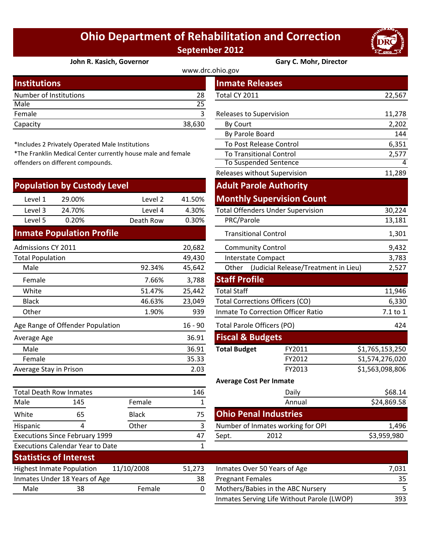## **Ohio Department of Rehabilitation and Correction September 2012**



## **John R. Kasich, Governor Gary C. Mohr, Director**

| . .                    |        |                         |        |  |
|------------------------|--------|-------------------------|--------|--|
| <b>Institutions</b>    |        | <b>Inmate Releases</b>  |        |  |
| Number of Institutions | 28     | Total CY 2011           | 22,567 |  |
| Male                   | 25     |                         |        |  |
| Female                 |        | Releases to Supervision | 11,278 |  |
| Capacity               | 38,630 | By Court                | 2,202  |  |
|                        |        |                         |        |  |

\*Includes 2 Privately Operated Male Institutions

\*The Franklin Medical Center currently house male and female offenders on different compounds.

|                         | <b>Population by Custody Level</b> |              |           | <b>Adult Parole Authority</b>                         |                                          |                 |
|-------------------------|------------------------------------|--------------|-----------|-------------------------------------------------------|------------------------------------------|-----------------|
| Level 1                 | 29.00%                             | Level 2      | 41.50%    |                                                       | <b>Monthly Supervision Count</b>         |                 |
| Level 3                 | 24.70%                             | Level 4      | 4.30%     |                                                       | <b>Total Offenders Under Supervision</b> | 30,224          |
| Level 5                 | 0.20%                              | Death Row    | 0.30%     | PRC/Parole                                            |                                          | 13,181          |
|                         | <b>Inmate Population Profile</b>   |              |           | <b>Transitional Control</b>                           |                                          | 1,301           |
| Admissions CY 2011      |                                    |              | 20,682    | <b>Community Control</b>                              |                                          | 9,432           |
| <b>Total Population</b> |                                    |              | 49,430    | <b>Interstate Compact</b>                             |                                          | 3,783           |
| Male                    |                                    | 92.34%       | 45,642    | Other                                                 | (Judicial Release/Treatment in Lieu)     | 2,527           |
| Female                  |                                    | 7.66%        | 3,788     | <b>Staff Profile</b>                                  |                                          |                 |
| White                   |                                    | 51.47%       | 25,442    | <b>Total Staff</b>                                    |                                          | 11,946          |
| <b>Black</b>            |                                    | 46.63%       | 23,049    | <b>Total Corrections Officers (CO)</b>                |                                          | 6,330           |
| Other                   |                                    | 1.90%        | 939       | <b>Inmate To Correction Officer Ratio</b><br>7.1 to 1 |                                          |                 |
|                         | Age Range of Offender Population   |              | $16 - 90$ | <b>Total Parole Officers (PO)</b>                     |                                          | 424             |
| Average Age             |                                    |              | 36.91     | <b>Fiscal &amp; Budgets</b>                           |                                          |                 |
| Male                    |                                    |              | 36.91     | <b>Total Budget</b>                                   | FY2011                                   | \$1,765,153,250 |
| Female                  |                                    |              | 35.33     |                                                       | FY2012                                   | S1,574,276,020  |
| Average Stay in Prison  |                                    |              | 2.03      |                                                       | FY2013                                   | \$1,563,098,806 |
|                         |                                    |              |           | <b>Average Cost Per Inmate</b>                        |                                          |                 |
|                         | <b>Total Death Row Inmates</b>     |              | 146       |                                                       | Daily                                    | \$68.14         |
| Male                    | 145                                | Female       | 1         |                                                       | Annual                                   | \$24,869.58     |
| White                   | 65                                 | <b>Black</b> | 75        | <b>Ohio Penal Industries</b>                          |                                          |                 |
| Hispanic                | 4                                  | Other        | 3         |                                                       | Number of Inmates working for OPI        | 1,496           |

Executions Since February 1999

Executions Calendar Year to Date

|                               |                                               |                                                           |                              | www.drc.ohio.gov                          |                                          |                 |
|-------------------------------|-----------------------------------------------|-----------------------------------------------------------|------------------------------|-------------------------------------------|------------------------------------------|-----------------|
| stitutions                    |                                               |                                                           |                              |                                           | <b>Inmate Releases</b>                   |                 |
|                               | mber of Institutions                          |                                                           | 28                           | Total CY 2011                             |                                          | 22,567          |
| le                            |                                               |                                                           | $\overline{25}$              |                                           |                                          |                 |
| nale                          |                                               |                                                           | $\overline{3}$               |                                           | Releases to Supervision                  | 11,278          |
| acity                         |                                               |                                                           | 38,630                       | By Court                                  |                                          | 2,202           |
|                               |                                               |                                                           |                              |                                           | By Parole Board                          | 144             |
|                               | cludes 2 Privately Operated Male Institutions |                                                           |                              |                                           | To Post Release Control                  | 6,351           |
|                               |                                               | e Franklin Medical Center currently house male and female |                              |                                           | <b>To Transitional Control</b>           | 2,577           |
| nders on different compounds. |                                               |                                                           | <b>To Suspended Sentence</b> |                                           | 4                                        |                 |
|                               |                                               |                                                           |                              |                                           | Releases without Supervision             | 11,289          |
|                               | pulation by Custody Level                     |                                                           |                              |                                           | <b>Adult Parole Authority</b>            |                 |
| Level 1                       | 29.00%                                        | Level 2                                                   | 41.50%                       |                                           | <b>Monthly Supervision Count</b>         |                 |
| Level 3                       | 24.70%                                        | Level 4                                                   | 4.30%                        |                                           | <b>Total Offenders Under Supervision</b> | 30,224          |
| Level 5                       | 0.20%                                         | Death Row                                                 | 0.30%                        | PRC/Parole                                |                                          | 13,181          |
|                               | nate Population Profile                       |                                                           |                              |                                           | <b>Transitional Control</b>              | 1,301           |
| nissions CY 2011              |                                               |                                                           | 20,682                       |                                           | <b>Community Control</b>                 | 9,432           |
| al Population                 |                                               |                                                           | 49,430                       |                                           | Interstate Compact                       | 3,783           |
| Male                          |                                               | 92.34%                                                    | 45,642                       | Other                                     | (Judicial Release/Treatment in Lieu)     | 2,527           |
| Female                        |                                               | 7.66%                                                     | 3,788                        | <b>Staff Profile</b>                      |                                          |                 |
| White                         |                                               | 51.47%                                                    | 25,442                       | <b>Total Staff</b>                        |                                          | 11,946          |
| <b>Black</b>                  |                                               | 46.63%                                                    | 23,049                       |                                           | <b>Total Corrections Officers (CO)</b>   | 6,330           |
| <b>Other</b>                  |                                               | 1.90%                                                     | 939                          | <b>Inmate To Correction Officer Ratio</b> | 7.1 to 1                                 |                 |
|                               | Range of Offender Population                  |                                                           | $16 - 90$                    |                                           | Total Parole Officers (PO)               | 424             |
| rage Age                      |                                               |                                                           | 36.91                        |                                           | <b>Fiscal &amp; Budgets</b>              |                 |
| Male                          |                                               |                                                           | 36.91                        | <b>Total Budget</b>                       | FY2011                                   | \$1,765,153,250 |
| Female                        |                                               |                                                           | 35.33                        |                                           | FY2012                                   | S1,574,276,020  |
|                               | rage Stay in Prison                           |                                                           | 2.03                         |                                           | FY2013                                   | \$1,563,098,806 |
|                               |                                               |                                                           |                              |                                           | <b>Average Cost Per Inmate</b>           |                 |
|                               | al Death Row Inmates                          |                                                           | 146                          |                                           | Daily                                    | \$68.14         |
| le                            | 145                                           | Female                                                    | $\mathbf{1}$                 |                                           | Annual                                   | \$24,869.58     |
| ite                           | 65                                            | <b>Black</b>                                              | 75                           |                                           | <b>Ohio Penal Industries</b>             |                 |
| panic                         | 4                                             | Other                                                     | 3                            |                                           | Number of Inmates working for OPI        | 1,496           |
|                               | cutions Since February 1999                   |                                                           | 47                           | Sept.                                     | 2012                                     | \$3,959,980     |
|                               | cutions Calendar Vear to Date                 |                                                           | $\mathbf 1$                  |                                           |                                          |                 |

|      | <b>Statistics of Interest</b>    |            |        |                                                                                                                                                                 |        |
|------|----------------------------------|------------|--------|-----------------------------------------------------------------------------------------------------------------------------------------------------------------|--------|
|      | <b>Highest Inmate Population</b> | 11/10/2008 | 51.273 | Inmates Over 50 Years of Age                                                                                                                                    | 7.031  |
|      | Inmates Under 18 Years of Age    |            | 38     | <b>Pregnant Females</b>                                                                                                                                         | 35     |
| Male | 38                               | Female     |        | Mothers/Babies in the ABC Nursery                                                                                                                               |        |
|      |                                  |            |        | $l_{\text{in}}$ and $l_{\text{in}}$ $\mathcal{L}_{\text{out}}$ is the UK in the set $\mathcal{L}_{\text{out}}$ is $l_{\text{in}}$ in $\mathcal{L}_{\text{out}}$ | $\sim$ |

1

| 51,273 | Inmates Over 50 Years of Age               | 7.031 |
|--------|--------------------------------------------|-------|
| 38     | <b>Pregnant Females</b>                    | 35    |
| 0      | Mothers/Babies in the ABC Nursery          |       |
|        | Inmates Serving Life Without Parole (LWOP) | 393   |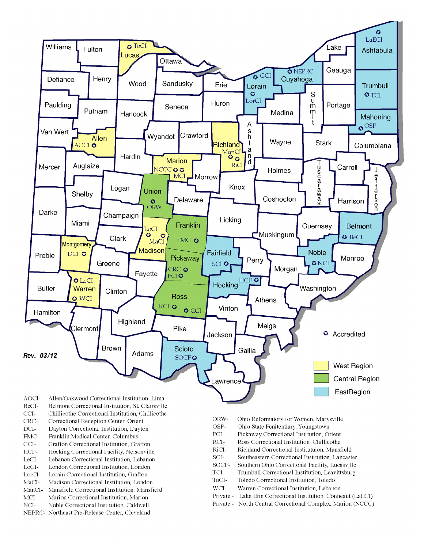

- BeCI-Belmont Correctional Institution, St. Clairsville
- $CCI-$ Chillicothe Correctional Institution, Chillicothe
- Correctional Reception Center, Orient CRC-
- $DCI-$ Dayton Correctional Institution, Dayton
- FMC-Franklin Medical Center, Columbus
- $\rm{GCI}\mbox{-}$ Grafton Correctional Institution, Grafton
- HCF-Hocking Correctional Facility, Nelsonville
- LeCI-Lebanon Correctional Institution, Lebanon
- LoCI-London Correctional Institution. London
- $\operatorname{LorCl-}$ Lorain Correctional Institution, Grafton
- $MaCI-$ Madison Correctional Institution, London
- ManCI-Mansfield Correctional Institution, Mansfield MCI-Marion Correctional Institution, Marion
- Noble Correctional Institution, Caldwell
- NCI-NEPRC- Northeast Pre-Release Center, Cleveland
- ORW-Ohio Reformatory for Women, Marysville
- OSP-Ohio State Penitentiary, Youngstown
- PCI-Pickaway Correctional Institution, Orient
- $\rm RCI-$ Ross Correctional Institution, Chillicothe
- RiCI-Richland Correctional Institutuion, Mansfield
- SCI-Southeastern Correctional Institution, Lancaster
- SOCF-Southern Ohio Correctional Facility, Lucasville
- TCI-Trumbull Correctional Institution, Leavittsburg
- ToCI-Toledo Correctional Institution, Toledo
- $WCI-$ Warren Correctional Institution, Lebanon
- Private Lake Erie Correctional Institution, Conneaut (LaECI)
- Private North Central Correctional Complex, Marion (NCCC)